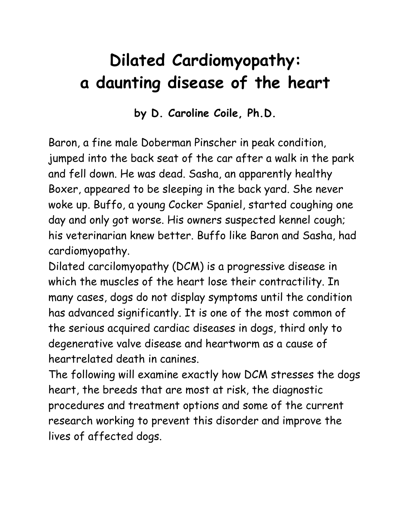## **Dilated Cardiomyopathy: a daunting disease of the heart**

**by D. Caroline Coile, Ph.D.**

Baron, a fine male Doberman Pinscher in peak condition, jumped into the back seat of the car after a walk in the park and fell down. He was dead. Sasha, an apparently healthy Boxer, appeared to be sleeping in the back yard. She never woke up. Buffo, a young Cocker Spaniel, started coughing one day and only got worse. His owners suspected kennel cough; his veterinarian knew better. Buffo like Baron and Sasha, had cardiomyopathy.

Dilated carcilomyopathy (DCM) is a progressive disease in which the muscles of the heart lose their contractility. In many cases, dogs do not display symptoms until the condition has advanced significantly. It is one of the most common of the serious acquired cardiac diseases in dogs, third only to degenerative valve disease and heartworm as a cause of heartrelated death in canines.

The following will examine exactly how DCM stresses the dogs heart, the breeds that are most at risk, the diagnostic procedures and treatment options and some of the current research working to prevent this disorder and improve the lives of affected dogs.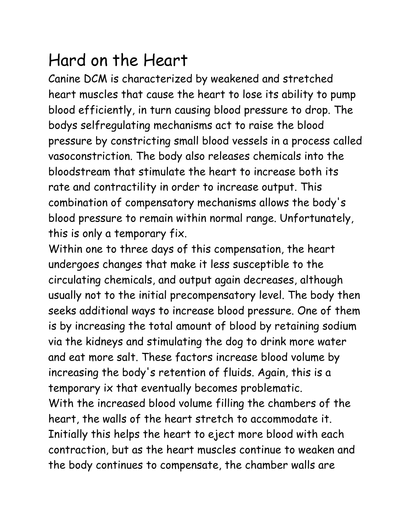#### Hard on the Heart

Canine DCM is characterized by weakened and stretched heart muscles that cause the heart to lose its ability to pump blood efficiently, in turn causing blood pressure to drop. The bodys selfregulating mechanisms act to raise the blood pressure by constricting small blood vessels in a process called vasoconstriction. The body also releases chemicals into the bloodstream that stimulate the heart to increase both its rate and contractility in order to increase output. This combination of compensatory mechanisms allows the body's blood pressure to remain within normal range. Unfortunately, this is only a temporary fix.

Within one to three days of this compensation, the heart undergoes changes that make it less susceptible to the circulating chemicals, and output again decreases, although usually not to the initial precompensatory level. The body then seeks additional ways to increase blood pressure. One of them is by increasing the total amount of blood by retaining sodium via the kidneys and stimulating the dog to drink more water and eat more salt. These factors increase blood volume by increasing the body's retention of fluids. Again, this is a temporary ix that eventually becomes problematic. With the increased blood volume filling the chambers of the heart, the walls of the heart stretch to accommodate it. Initially this helps the heart to eject more blood with each contraction, but as the heart muscles continue to weaken and the body continues to compensate, the chamber walls are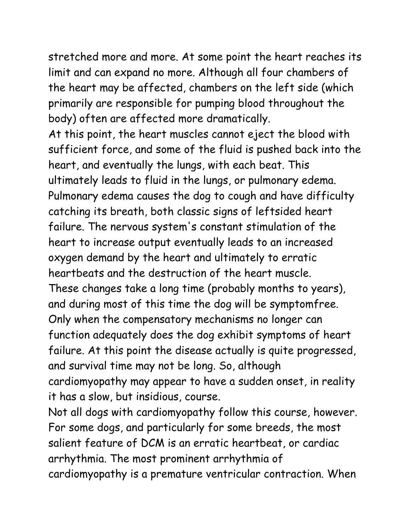stretched more and more. At some point the heart reaches its limit and can expand no more. Although all four chambers of the heart may be affected, chambers on the left side (which primarily are responsible for pumping blood throughout the body) often are affected more dramatically.

At this point, the heart muscles cannot eject the blood with sufficient force, and some of the fluid is pushed back into the heart, and eventually the lungs, with each beat. This ultimately leads to fluid in the lungs, or pulmonary edema. Pulmonary edema causes the dog to cough and have difficulty catching its breath, both classic signs of leftsided heart failure. The nervous system's constant stimulation of the heart to increase output eventually leads to an increased oxygen demand by the heart and ultimately to erratic heartbeats and the destruction of the heart muscle. These changes take a long time (probably months to years), and during most of this time the dog will be symptomfree. Only when the compensatory mechanisms no longer can function adequately does the dog exhibit symptoms of heart failure. At this point the disease actually is quite progressed, and survival time may not be long. So, although cardiomyopathy may appear to have a sudden onset, in reality it has a slow, but insidious, course.

Not all dogs with cardiomyopathy follow this course, however. For some dogs, and particularly for some breeds, the most salient feature of DCM is an erratic heartbeat, or cardiac arrhythmia. The most prominent arrhythmia of cardiomyopathy is a premature ventricular contraction. When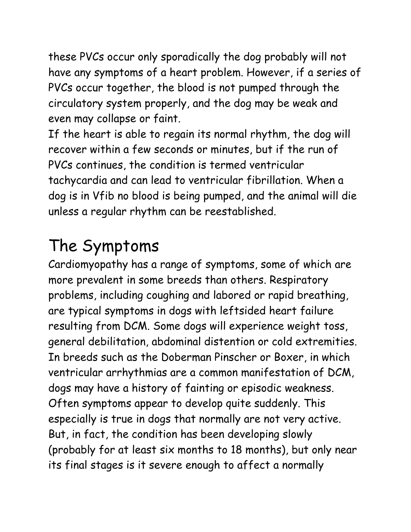these PVCs occur only sporadically the dog probably will not have any symptoms of a heart problem. However, if a series of PVCs occur together, the blood is not pumped through the circulatory system properly, and the dog may be weak and even may collapse or faint.

If the heart is able to regain its normal rhythm, the dog will recover within a few seconds or minutes, but if the run of PVCs continues, the condition is termed ventricular tachycardia and can lead to ventricular fibrillation. When a dog is in Vfib no blood is being pumped, and the animal will die unless a regular rhythm can be reestablished.

## The Symptoms

Cardiomyopathy has a range of symptoms, some of which are more prevalent in some breeds than others. Respiratory problems, including coughing and labored or rapid breathing, are typical symptoms in dogs with leftsided heart failure resulting from DCM. Some dogs will experience weight toss, general debilitation, abdominal distention or cold extremities. In breeds such as the Doberman Pinscher or Boxer, in which ventricular arrhythmias are a common manifestation of DCM, dogs may have a history of fainting or episodic weakness. Often symptoms appear to develop quite suddenly. This especially is true in dogs that normally are not very active. But, in fact, the condition has been developing slowly (probably for at least six months to 18 months), but only near its final stages is it severe enough to affect a normally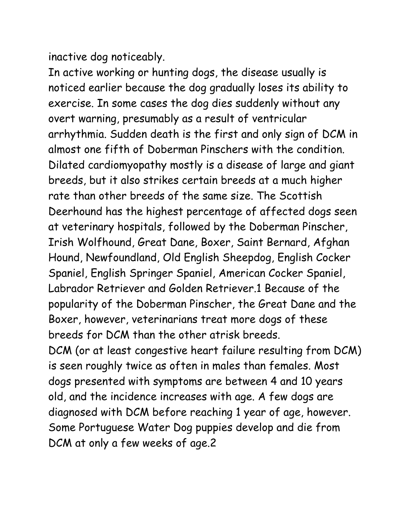inactive dog noticeably.

In active working or hunting dogs, the disease usually is noticed earlier because the dog gradually loses its ability to exercise. In some cases the dog dies suddenly without any overt warning, presumably as a result of ventricular arrhythmia. Sudden death is the first and only sign of DCM in almost one fifth of Doberman Pinschers with the condition. Dilated cardiomyopathy mostly is a disease of large and giant breeds, but it also strikes certain breeds at a much higher rate than other breeds of the same size. The Scottish Deerhound has the highest percentage of affected dogs seen at veterinary hospitals, followed by the Doberman Pinscher, Irish Wolfhound, Great Dane, Boxer, Saint Bernard, Afghan Hound, Newfoundland, Old English Sheepdog, English Cocker Spaniel, English Springer Spaniel, American Cocker Spaniel, Labrador Retriever and Golden Retriever.1 Because of the popularity of the Doberman Pinscher, the Great Dane and the Boxer, however, veterinarians treat more dogs of these breeds for DCM than the other atrisk breeds. DCM (or at least congestive heart failure resulting from DCM) is seen roughly twice as often in males than females. Most dogs presented with symptoms are between 4 and 10 years old, and the incidence increases with age. A few dogs are diagnosed with DCM before reaching 1 year of age, however. Some Portuguese Water Dog puppies develop and die from

DCM at only a few weeks of age.2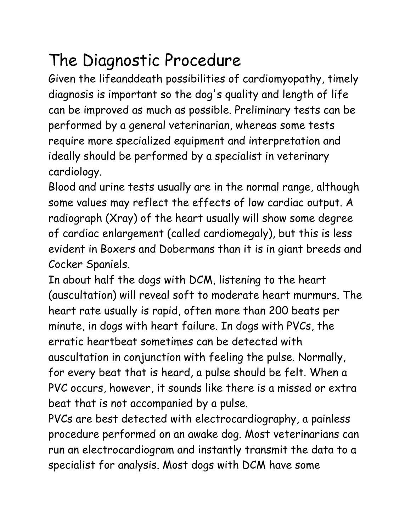## The Diagnostic Procedure

Given the lifeanddeath possibilities of cardiomyopathy, timely diagnosis is important so the dog's quality and length of life can be improved as much as possible. Preliminary tests can be performed by a general veterinarian, whereas some tests require more specialized equipment and interpretation and ideally should be performed by a specialist in veterinary cardiology.

Blood and urine tests usually are in the normal range, although some values may reflect the effects of low cardiac output. A radiograph (Xray) of the heart usually will show some degree of cardiac enlargement (called cardiomegaly), but this is less evident in Boxers and Dobermans than it is in giant breeds and Cocker Spaniels.

In about half the dogs with DCM, listening to the heart (auscultation) will reveal soft to moderate heart murmurs. The heart rate usually is rapid, often more than 200 beats per minute, in dogs with heart failure. In dogs with PVCs, the erratic heartbeat sometimes can be detected with auscultation in conjunction with feeling the pulse. Normally, for every beat that is heard, a pulse should be felt. When a PVC occurs, however, it sounds like there is a missed or extra beat that is not accompanied by a pulse.

PVCs are best detected with electrocardiography, a painless procedure performed on an awake dog. Most veterinarians can run an electrocardiogram and instantly transmit the data to a specialist for analysis. Most dogs with DCM have some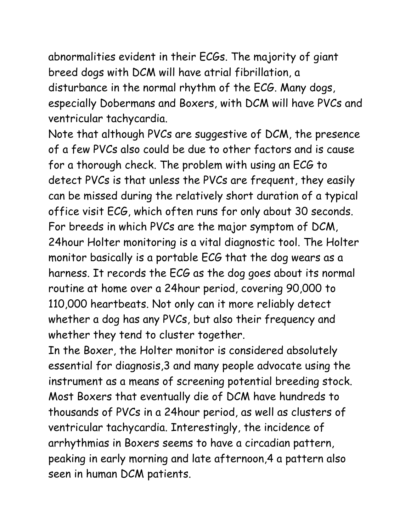abnormalities evident in their ECGs. The majority of giant breed dogs with DCM will have atrial fibrillation, a disturbance in the normal rhythm of the ECG. Many dogs, especially Dobermans and Boxers, with DCM will have PVCs and ventricular tachycardia.

Note that although PVCs are suggestive of DCM, the presence of a few PVCs also could be due to other factors and is cause for a thorough check. The problem with using an ECG to detect PVCs is that unless the PVCs are frequent, they easily can be missed during the relatively short duration of a typical office visit ECG, which often runs for only about 30 seconds. For breeds in which PVCs are the major symptom of DCM, 24hour Holter monitoring is a vital diagnostic tool. The Holter monitor basically is a portable ECG that the dog wears as a harness. It records the ECG as the dog goes about its normal routine at home over a 24hour period, covering 90,000 to 110,000 heartbeats. Not only can it more reliably detect whether a dog has any PVCs, but also their frequency and whether they tend to cluster together.

In the Boxer, the Holter monitor is considered absolutely essential for diagnosis,3 and many people advocate using the instrument as a means of screening potential breeding stock. Most Boxers that eventually die of DCM have hundreds to thousands of PVCs in a 24hour period, as well as clusters of ventricular tachycardia. Interestingly, the incidence of arrhythmias in Boxers seems to have a circadian pattern, peaking in early morning and late afternoon,4 a pattern also seen in human DCM patients.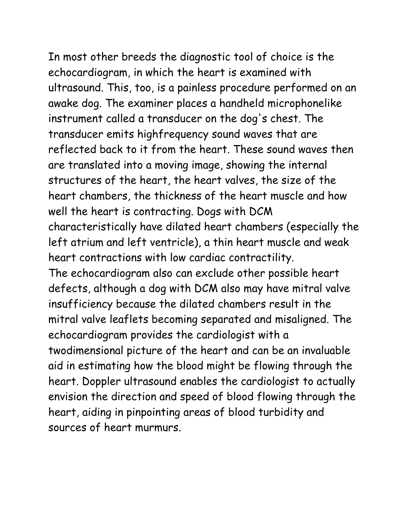In most other breeds the diagnostic tool of choice is the echocardiogram, in which the heart is examined with ultrasound. This, too, is a painless procedure performed on an awake dog. The examiner places a handheld microphonelike instrument called a transducer on the dog's chest. The transducer emits highfrequency sound waves that are reflected back to it from the heart. These sound waves then are translated into a moving image, showing the internal structures of the heart, the heart valves, the size of the heart chambers, the thickness of the heart muscle and how well the heart is contracting. Dogs with DCM characteristically have dilated heart chambers (especially the left atrium and left ventricle), a thin heart muscle and weak heart contractions with low cardiac contractility. The echocardiogram also can exclude other possible heart defects, although a dog with DCM also may have mitral valve insufficiency because the dilated chambers result in the mitral valve leaflets becoming separated and misaligned. The echocardiogram provides the cardiologist with a twodimensional picture of the heart and can be an invaluable aid in estimating how the blood might be flowing through the heart. Doppler ultrasound enables the cardiologist to actually envision the direction and speed of blood flowing through the heart, aiding in pinpointing areas of blood turbidity and sources of heart murmurs.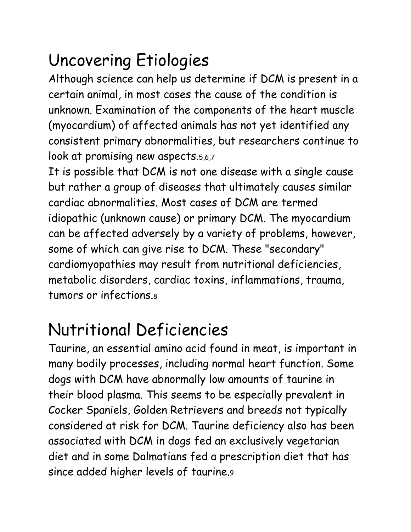## Uncovering Etiologies

Although science can help us determine if DCM is present in a certain animal, in most cases the cause of the condition is unknown. Examination of the components of the heart muscle (myocardium) of affected animals has not yet identified any consistent primary abnormalities, but researchers continue to look at promising new aspects.5,6,7

It is possible that DCM is not one disease with a single cause but rather a group of diseases that ultimately causes similar cardiac abnormalities. Most cases of DCM are termed idiopathic (unknown cause) or primary DCM. The myocardium can be affected adversely by a variety of problems, however, some of which can give rise to DCM. These "secondary" cardiomyopathies may result from nutritional deficiencies, metabolic disorders, cardiac toxins, inflammations, trauma, tumors or infections.8

## Nutritional Deficiencies

Taurine, an essential amino acid found in meat, is important in many bodily processes, including normal heart function. Some dogs with DCM have abnormally low amounts of taurine in their blood plasma. This seems to be especially prevalent in Cocker Spaniels, Golden Retrievers and breeds not typically considered at risk for DCM. Taurine deficiency also has been associated with DCM in dogs fed an exclusively vegetarian diet and in some Dalmatians fed a prescription diet that has since added higher levels of taurine.9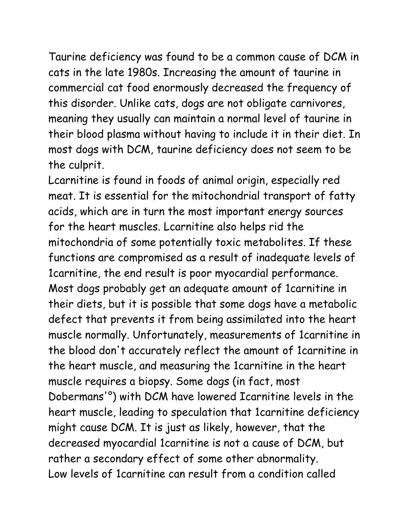Taurine deficiency was found to be a common cause of DCM in cats in the late 1980s. Increasing the amount of taurine in commercial cat food enormously decreased the frequency of this disorder. Unlike cats, dogs are not obligate carnivores, meaning they usually can maintain a normal level of taurine in their blood plasma without having to include it in their diet. In most dogs with DCM, taurine deficiency does not seem to be the culprit.

Lcarnitine is found in foods of animal origin, especially red meat. It is essential for the mitochondrial transport of fatty acids, which are in turn the most important energy sources for the heart muscles. Lcarnitine also helps rid the mitochondria of some potentially toxic metabolites. If these functions are compromised as a result of inadequate levels of 1carnitine, the end result is poor myocardial performance. Most dogs probably get an adequate amount of 1carnitine in their diets, but it is possible that some dogs have a metabolic defect that prevents it from being assimilated into the heart muscle normally. Unfortunately, measurements of 1carnitine in the blood don't accurately reflect the amount of 1carnitine in the heart muscle, and measuring the 1carnitine in the heart muscle requires a biopsy. Some dogs (in fact, most Dobermans'°) with DCM have lowered Icarnitine levels in the heart muscle, leading to speculation that 1carnitine deficiency might cause DCM. It is just as likely, however, that the decreased myocardial 1carnitine is not a cause of DCM, but rather a secondary effect of some other abnormality. Low levels of 1carnitine can result from a condition called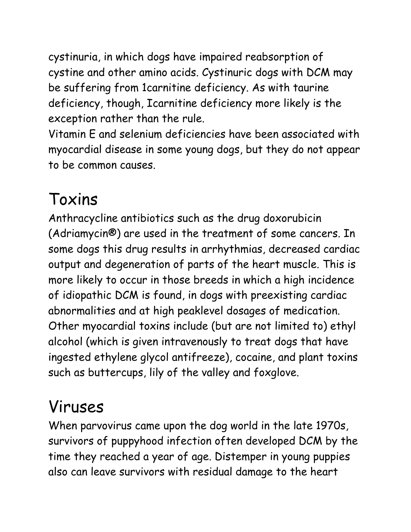cystinuria, in which dogs have impaired reabsorption of cystine and other amino acids. Cystinuric dogs with DCM may be suffering from 1carnitine deficiency. As with taurine deficiency, though, Icarnitine deficiency more likely is the exception rather than the rule.

Vitamin E and selenium deficiencies have been associated with myocardial disease in some young dogs, but they do not appear to be common causes.

## Toxins

Anthracycline antibiotics such as the drug doxorubicin (Adriamycin®) are used in the treatment of some cancers. In some dogs this drug results in arrhythmias, decreased cardiac output and degeneration of parts of the heart muscle. This is more likely to occur in those breeds in which a high incidence of idiopathic DCM is found, in dogs with preexisting cardiac abnormalities and at high peaklevel dosages of medication. Other myocardial toxins include (but are not limited to) ethyl alcohol (which is given intravenously to treat dogs that have ingested ethylene glycol antifreeze), cocaine, and plant toxins such as buttercups, lily of the valley and foxglove.

#### Viruses

When parvovirus came upon the dog world in the late 1970s, survivors of puppyhood infection often developed DCM by the time they reached a year of age. Distemper in young puppies also can leave survivors with residual damage to the heart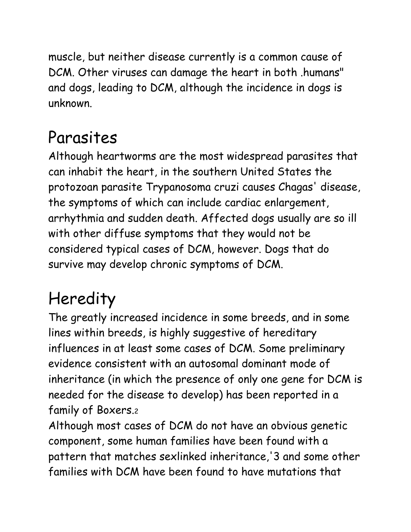muscle, but neither disease currently is a common cause of DCM. Other viruses can damage the heart in both .humans" and dogs, leading to DCM, although the incidence in dogs is unknown.

#### Parasites

Although heartworms are the most widespread parasites that can inhabit the heart, in the southern United States the protozoan parasite Trypanosoma cruzi causes Chagas' disease, the symptoms of which can include cardiac enlargement, arrhythmia and sudden death. Affected dogs usually are so ill with other diffuse symptoms that they would not be considered typical cases of DCM, however. Dogs that do survive may develop chronic symptoms of DCM.

## **Heredity**

The greatly increased incidence in some breeds, and in some lines within breeds, is highly suggestive of hereditary influences in at least some cases of DCM. Some preliminary evidence consistent with an autosomal dominant mode of inheritance (in which the presence of only one gene for DCM is needed for the disease to develop) has been reported in a family of Boxers.2

Although most cases of DCM do not have an obvious genetic component, some human families have been found with a pattern that matches sexlinked inheritance,'3 and some other families with DCM have been found to have mutations that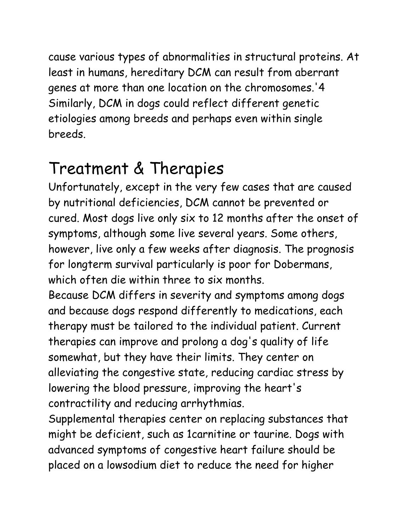cause various types of abnormalities in structural proteins. At least in humans, hereditary DCM can result from aberrant genes at more than one location on the chromosomes.'4 Similarly, DCM in dogs could reflect different genetic etiologies among breeds and perhaps even within single breeds.

#### Treatment & Therapies

Unfortunately, except in the very few cases that are caused by nutritional deficiencies, DCM cannot be prevented or cured. Most dogs live only six to 12 months after the onset of symptoms, although some live several years. Some others, however, live only a few weeks after diagnosis. The prognosis for longterm survival particularly is poor for Dobermans, which often die within three to six months.

Because DCM differs in severity and symptoms among dogs and because dogs respond differently to medications, each therapy must be tailored to the individual patient. Current therapies can improve and prolong a dog's quality of life somewhat, but they have their limits. They center on alleviating the congestive state, reducing cardiac stress by lowering the blood pressure, improving the heart's contractility and reducing arrhythmias.

Supplemental therapies center on replacing substances that might be deficient, such as 1carnitine or taurine. Dogs with advanced symptoms of congestive heart failure should be placed on a lowsodium diet to reduce the need for higher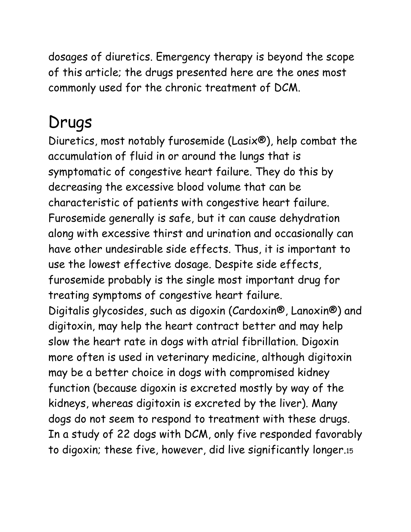dosages of diuretics. Emergency therapy is beyond the scope of this article; the drugs presented here are the ones most commonly used for the chronic treatment of DCM.

#### Drugs

Diuretics, most notably furosemide (Lasix®), help combat the accumulation of fluid in or around the lungs that is symptomatic of congestive heart failure. They do this by decreasing the excessive blood volume that can be characteristic of patients with congestive heart failure. Furosemide generally is safe, but it can cause dehydration along with excessive thirst and urination and occasionally can have other undesirable side effects. Thus, it is important to use the lowest effective dosage. Despite side effects, furosemide probably is the single most important drug for treating symptoms of congestive heart failure. Digitalis glycosides, such as digoxin (Cardoxin®, Lanoxin®) and digitoxin, may help the heart contract better and may help slow the heart rate in dogs with atrial fibrillation. Digoxin more often is used in veterinary medicine, although digitoxin may be a better choice in dogs with compromised kidney function (because digoxin is excreted mostly by way of the kidneys, whereas digitoxin is excreted by the liver). Many dogs do not seem to respond to treatment with these drugs. In a study of 22 dogs with DCM, only five responded favorably to digoxin; these five, however, did live significantly longer.15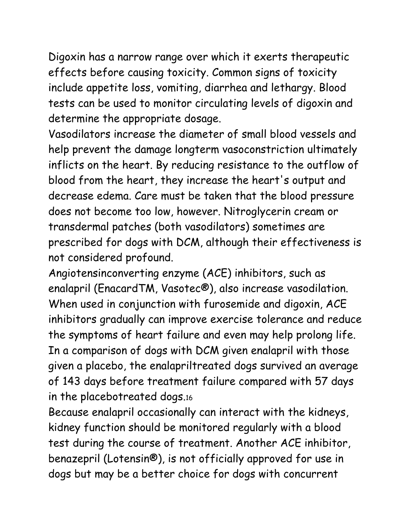Digoxin has a narrow range over which it exerts therapeutic effects before causing toxicity. Common signs of toxicity include appetite loss, vomiting, diarrhea and lethargy. Blood tests can be used to monitor circulating levels of digoxin and determine the appropriate dosage.

Vasodilators increase the diameter of small blood vessels and help prevent the damage longterm vasoconstriction ultimately inflicts on the heart. By reducing resistance to the outflow of blood from the heart, they increase the heart's output and decrease edema. Care must be taken that the blood pressure does not become too low, however. Nitroglycerin cream or transdermal patches (both vasodilators) sometimes are prescribed for dogs with DCM, although their effectiveness is not considered profound.

Angiotensinconverting enzyme (ACE) inhibitors, such as enalapril (EnacardTM, Vasotec®), also increase vasodilation. When used in conjunction with furosemide and digoxin, ACE inhibitors gradually can improve exercise tolerance and reduce the symptoms of heart failure and even may help prolong life. In a comparison of dogs with DCM given enalapril with those given a placebo, the enalapriltreated dogs survived an average of 143 days before treatment failure compared with 57 days in the placebotreated dogs.16

Because enalapril occasionally can interact with the kidneys, kidney function should be monitored regularly with a blood test during the course of treatment. Another ACE inhibitor, benazepril (Lotensin®), is not officially approved for use in dogs but may be a better choice for dogs with concurrent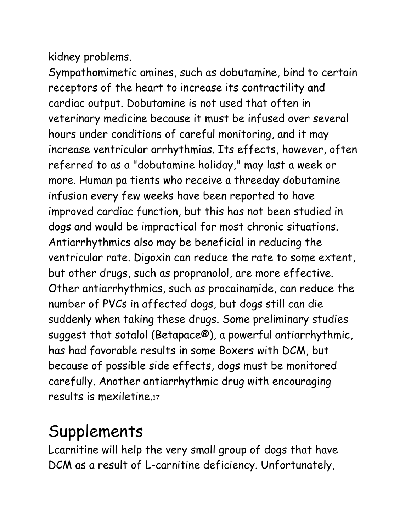kidney problems.

Sympathomimetic amines, such as dobutamine, bind to certain receptors of the heart to increase its contractility and cardiac output. Dobutamine is not used that often in veterinary medicine because it must be infused over several hours under conditions of careful monitoring, and it may increase ventricular arrhythmias. Its effects, however, often referred to as a "dobutamine holiday," may last a week or more. Human pa tients who receive a threeday dobutamine infusion every few weeks have been reported to have improved cardiac function, but this has not been studied in dogs and would be impractical for most chronic situations. Antiarrhythmics also may be beneficial in reducing the ventricular rate. Digoxin can reduce the rate to some extent, but other drugs, such as propranolol, are more effective. Other antiarrhythmics, such as procainamide, can reduce the number of PVCs in affected dogs, but dogs still can die suddenly when taking these drugs. Some preliminary studies suggest that sotalol (Betapace®), a powerful antiarrhythmic, has had favorable results in some Boxers with DCM, but because of possible side effects, dogs must be monitored carefully. Another antiarrhythmic drug with encouraging results is mexiletine.17

#### Supplements

Lcarnitine will help the very small group of dogs that have DCM as a result of L-carnitine deficiency. Unfortunately,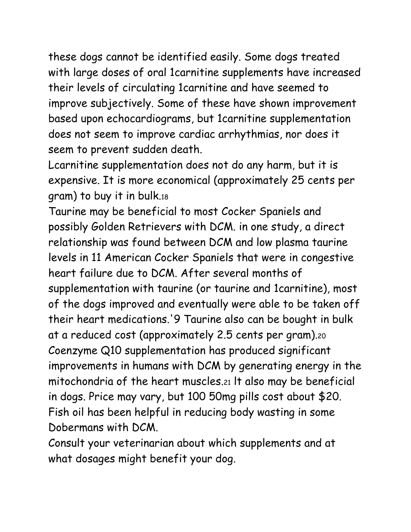these dogs cannot be identified easily. Some dogs treated with large doses of oral 1carnitine supplements have increased their levels of circulating 1carnitine and have seemed to improve subjectively. Some of these have shown improvement based upon echocardiograms, but 1carnitine supplementation does not seem to improve cardiac arrhythmias, nor does it seem to prevent sudden death.

Lcarnitine supplementation does not do any harm, but it is expensive. It is more economical (approximately 25 cents per gram) to buy it in bulk.18

Taurine may be beneficial to most Cocker Spaniels and possibly Golden Retrievers with DCM. in one study, a direct relationship was found between DCM and low plasma taurine levels in 11 American Cocker Spaniels that were in congestive heart failure due to DCM. After several months of supplementation with taurine (or taurine and 1carnitine), most of the dogs improved and eventually were able to be taken off their heart medications.'9 Taurine also can be bought in bulk at a reduced cost (approximately 2.5 cents per gram).20 Coenzyme Q10 supplementation has produced significant improvements in humans with DCM by generating energy in the mitochondria of the heart muscles.21 lt also may be beneficial in dogs. Price may vary, but 100 50mg pills cost about \$20. Fish oil has been helpful in reducing body wasting in some Dobermans with DCM.

Consult your veterinarian about which supplements and at what dosages might benefit your dog.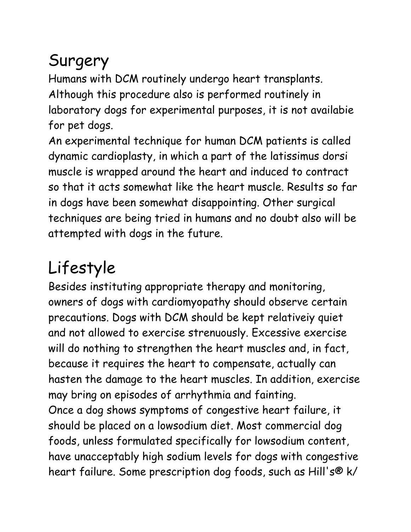## Surgery

Humans with DCM routinely undergo heart transplants. Although this procedure also is performed routinely in laboratory dogs for experimental purposes, it is not availabie for pet dogs.

An experimental technique for human DCM patients is called dynamic cardioplasty, in which a part of the latissimus dorsi muscle is wrapped around the heart and induced to contract so that it acts somewhat like the heart muscle. Results so far in dogs have been somewhat disappointing. Other surgical techniques are being tried in humans and no doubt also will be attempted with dogs in the future.

# Lifestyle

Besides instituting appropriate therapy and monitoring, owners of dogs with cardiomyopathy should observe certain precautions. Dogs with DCM should be kept relativeiy quiet and not allowed to exercise strenuously. Excessive exercise will do nothing to strengthen the heart muscles and, in fact, because it requires the heart to compensate, actually can hasten the damage to the heart muscles. In addition, exercise may bring on episodes of arrhythmia and fainting. Once a dog shows symptoms of congestive heart failure, it should be placed on a lowsodium diet. Most commercial dog foods, unless formulated specifically for lowsodium content, have unacceptably high sodium levels for dogs with congestive heart failure. Some prescription dog foods, such as Hill's® k/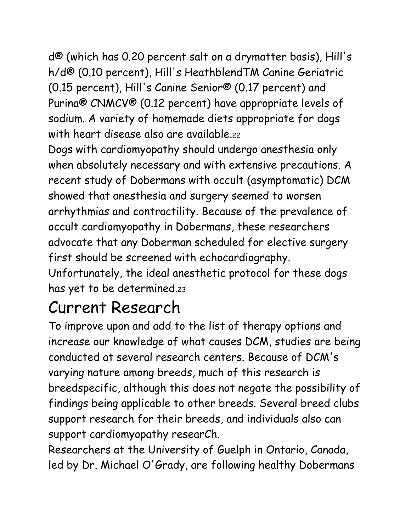d® (which has 0.20 percent salt on a drymatter basis), Hill's h/d® (0.10 percent), Hill's HeathblendTM Canine Geriatric (0.15 percent), Hill's Canine Senior® (0.17 percent) and Purina® CNMCV® (0.12 percent) have appropriate levels of sodium. A variety of homemade diets appropriate for dogs with heart disease also are available.22

Dogs with cardiomyopathy should undergo anesthesia only when absolutely necessary and with extensive precautions. A recent study of Dobermans with occult (asymptomatic) DCM showed that anesthesia and surgery seemed to worsen arrhythmias and contractility. Because of the prevalence of occult cardiomyopathy in Dobermans, these researchers advocate that any Doberman scheduled for elective surgery first should be screened with echocardiography. Unfortunately, the ideal anesthetic protocol for these dogs has yet to be determined.23

## Current Research

To improve upon and add to the list of therapy options and increase our knowledge of what causes DCM, studies are being conducted at several research centers. Because of DCM's varying nature among breeds, much of this research is breedspecific, although this does not negate the possibility of findings being applicable to other breeds. Several breed clubs support research for their breeds, and individuals also can support cardiomyopathy researCh.

Researchers at the University of Guelph in Ontario, Canada, led by Dr. Michael O'Grady, are following healthy Dobermans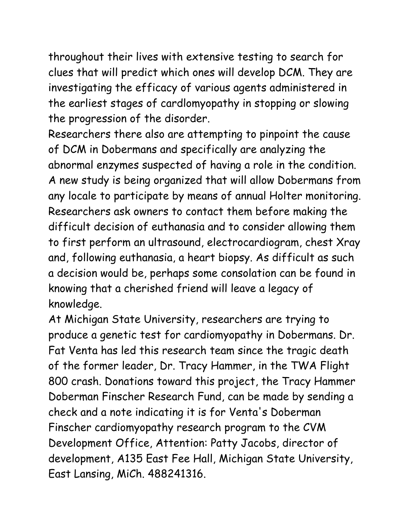throughout their lives with extensive testing to search for clues that will predict which ones will develop DCM. They are investigating the efficacy of various agents administered in the earliest stages of cardlomyopathy in stopping or slowing the progression of the disorder.

Researchers there also are attempting to pinpoint the cause of DCM in Dobermans and specifically are analyzing the abnormal enzymes suspected of having a role in the condition. A new study is being organized that will allow Dobermans from any locale to participate by means of annual Holter monitoring. Researchers ask owners to contact them before making the difficult decision of euthanasia and to consider allowing them to first perform an ultrasound, electrocardiogram, chest Xray and, following euthanasia, a heart biopsy. As difficult as such a decision would be, perhaps some consolation can be found in knowing that a cherished friend will leave a legacy of knowledge.

At Michigan State University, researchers are trying to produce a genetic test for cardiomyopathy in Dobermans. Dr. Fat Venta has led this research team since the tragic death of the former leader, Dr. Tracy Hammer, in the TWA Flight 800 crash. Donations toward this project, the Tracy Hammer Doberman Finscher Research Fund, can be made by sending a check and a note indicating it is for Venta's Doberman Finscher cardiomyopathy research program to the CVM Development Office, Attention: Patty Jacobs, director of development, A135 East Fee Hall, Michigan State University, East Lansing, MiCh. 488241316.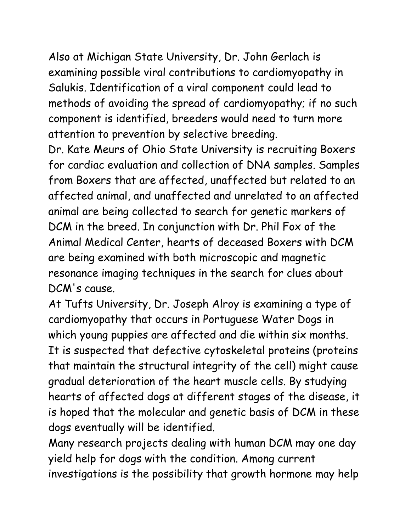Also at Michigan State University, Dr. John Gerlach is examining possible viral contributions to cardiomyopathy in Salukis. Identification of a viral component could lead to methods of avoiding the spread of cardiomyopathy; if no such component is identified, breeders would need to turn more attention to prevention by selective breeding.

Dr. Kate Meurs of Ohio State University is recruiting Boxers for cardiac evaluation and collection of DNA samples. Samples from Boxers that are affected, unaffected but related to an affected animal, and unaffected and unrelated to an affected animal are being collected to search for genetic markers of DCM in the breed. In conjunction with Dr. Phil Fox of the Animal Medical Center, hearts of deceased Boxers with DCM are being examined with both microscopic and magnetic resonance imaging techniques in the search for clues about DCM's cause.

At Tufts University, Dr. Joseph Alroy is examining a type of cardiomyopathy that occurs in Portuguese Water Dogs in which young puppies are affected and die within six months. It is suspected that defective cytoskeletal proteins (proteins that maintain the structural integrity of the cell) might cause gradual deterioration of the heart muscle cells. By studying hearts of affected dogs at different stages of the disease, it is hoped that the molecular and genetic basis of DCM in these dogs eventually will be identified.

Many research projects dealing with human DCM may one day yield help for dogs with the condition. Among current investigations is the possibility that growth hormone may help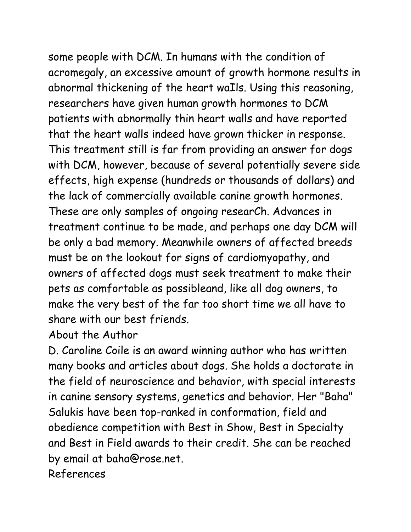some people with DCM. In humans with the condition of acromegaly, an excessive amount of growth hormone results in abnormal thickening of the heart waIls. Using this reasoning, researchers have given human growth hormones to DCM patients with abnormally thin heart walls and have reported that the heart walls indeed have grown thicker in response. This treatment still is far from providing an answer for dogs with DCM, however, because of several potentially severe side effects, high expense (hundreds or thousands of dollars) and the lack of commercially available canine growth hormones. These are only samples of ongoing researCh. Advances in treatment continue to be made, and perhaps one day DCM will be only a bad memory. Meanwhile owners of affected breeds must be on the lookout for signs of cardiomyopathy, and owners of affected dogs must seek treatment to make their pets as comfortable as possibleand, like all dog owners, to make the very best of the far too short time we all have to share with our best friends.

#### About the Author

D. Caroline Coile is an award winning author who has written many books and articles about dogs. She holds a doctorate in the field of neuroscience and behavior, with special interests in canine sensory systems, genetics and behavior. Her "Baha" Salukis have been top-ranked in conformation, field and obedience competition with Best in Show, Best in Specialty and Best in Field awards to their credit. She can be reached by email at baha@rose.net.

References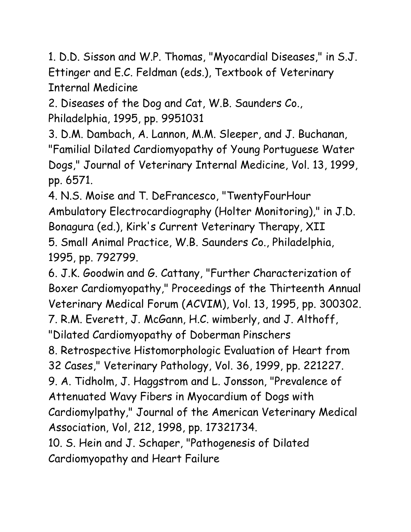1. D.D. Sisson and W.P. Thomas, "Myocardial Diseases," in S.J. Ettinger and E.C. Feldman (eds.), Textbook of Veterinary Internal Medicine

2. Diseases of the Dog and Cat, W.B. Saunders Co., Philadelphia, 1995, pp. 9951031

3. D.M. Dambach, A. Lannon, M.M. Sleeper, and J. Buchanan, "Familial Dilated Cardiomyopathy of Young Portuguese Water Dogs," Journal of Veterinary Internal Medicine, Vol. 13, 1999, pp. 6571.

4. N.S. Moise and T. DeFrancesco, "TwentyFourHour Ambulatory Electrocardiography (Holter Monitoring)," in J.D. Bonagura (ed.), Kirk's Current Veterinary Therapy, XII 5. Small Animal Practice, W.B. Saunders Co., Philadelphia, 1995, pp. 792799.

6. J.K. Goodwin and G. Cattany, "Further Characterization of Boxer Cardiomyopathy," Proceedings of the Thirteenth Annual Veterinary Medical Forum (ACVIM), Vol. 13, 1995, pp. 300302. 7. R.M. Everett, J. McGann, H.C. wimberly, and J. Althoff, "Dilated Cardiomyopathy of Doberman Pinschers

8. Retrospective Histomorphologic Evaluation of Heart from

32 Cases," Veterinary Pathology, Vol. 36, 1999, pp. 221227.

9. A. Tidholm, J. Haggstrom and L. Jonsson, "Prevalence of Attenuated Wavy Fibers in Myocardium of Dogs with

Cardiomylpathy," Journal of the American Veterinary Medical Association, Vol, 212, 1998, pp. 17321734.

10. S. Hein and J. Schaper, "Pathogenesis of Dilated Cardiomyopathy and Heart Failure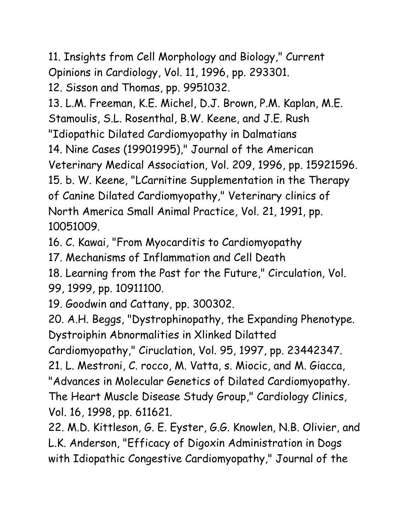11. Insights from Cell Morphology and Biology," Current Opinions in Cardiology, Vol. 11, 1996, pp. 293301.

12. Sisson and Thomas, pp. 9951032.

13. L.M. Freeman, K.E. Michel, D.J. Brown, P.M. Kaplan, M.E. Stamoulis, S.L. Rosenthal, B.W. Keene, and J.E. Rush

"Idiopathic Dilated Cardiomyopathy in Dalmatians

14. Nine Cases (19901995)," Journal of the American

Veterinary Medical Association, Vol. 209, 1996, pp. 15921596.

15. b. W. Keene, "LCarnitine Supplementation in the Therapy

of Canine Dilated Cardiomyopathy," Veterinary clinics of North America Small Animal Practice, Vol. 21, 1991, pp. 10051009.

16. C. Kawai, "From Myocarditis to Cardiomyopathy

17. Mechanisms of Inflammation and Cell Death

18. Learning from the Past for the Future," Circulation, Vol. 99, 1999, pp. 10911100.

19. Goodwin and Cattany, pp. 300302.

20. A.H. Beggs, "Dystrophinopathy, the Expanding Phenotype. Dystroiphin Abnormalities in Xlinked Dilatted

Cardiomyopathy," Ciruclation, Vol. 95, 1997, pp. 23442347.

21. L. Mestroni, C. rocco, M. Vatta, s. Miocic, and M. Giacca,

"Advances in Molecular Genetics of Dilated Cardiomyopathy.

The Heart Muscle Disease Study Group," Cardiology Clinics, Vol. 16, 1998, pp. 611621.

22. M.D. Kittleson, G. E. Eyster, G.G. Knowlen, N.B. Olivier, and L.K. Anderson, "Efficacy of Digoxin Administration in Dogs with Idiopathic Congestive Cardiomyopathy," Journal of the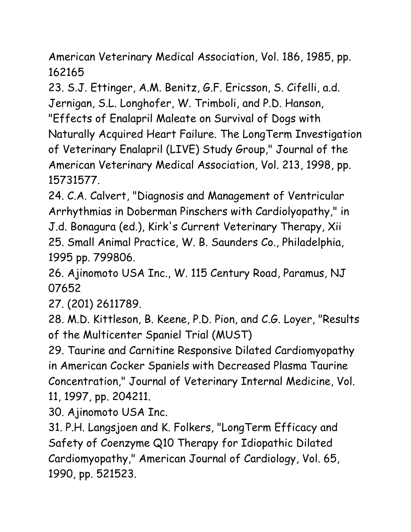American Veterinary Medical Association, Vol. 186, 1985, pp. 162165

23. S.J. Ettinger, A.M. Benitz, G.F. Ericsson, S. Cifelli, a.d. Jernigan, S.L. Longhofer, W. Trimboli, and P.D. Hanson, "Effects of Enalapril Maleate on Survival of Dogs with Naturally Acquired Heart Failure. The LongTerm Investigation of Veterinary Enalapril (LIVE) Study Group," Journal of the American Veterinary Medical Association, Vol. 213, 1998, pp. 15731577.

24. C.A. Calvert, "Diagnosis and Management of Ventricular Arrhythmias in Doberman Pinschers with Cardiolyopathy," in J.d. Bonagura (ed.), Kirk's Current Veterinary Therapy, Xii 25. Small Animal Practice, W. B. Saunders Co., Philadelphia, 1995 pp. 799806.

26. Ajinomoto USA Inc., W. 115 Century Road, Paramus, NJ 07652

27. (201) 2611789.

28. M.D. Kittleson, B. Keene, P.D. Pion, and C.G. Loyer, "Results of the Multicenter Spaniel Trial (MUST)

29. Taurine and Carnitine Responsive Dilated Cardiomyopathy in American Cocker Spaniels with Decreased Plasma Taurine Concentration," Journal of Veterinary Internal Medicine, Vol. 11, 1997, pp. 204211.

30. Ajinomoto USA Inc.

31. P.H. Langsjoen and K. Folkers, "LongTerm Efficacy and Safety of Coenzyme Q10 Therapy for Idiopathic Dilated Cardiomyopathy," American Journal of Cardiology, Vol. 65, 1990, pp. 521523.